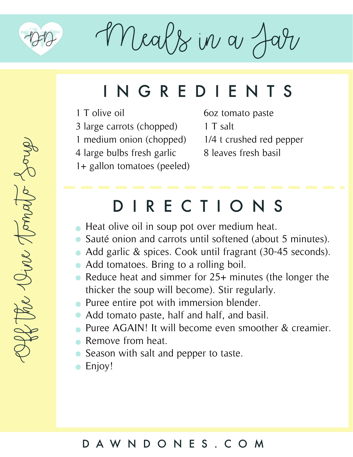

 $M$ eals in a  $A$ 

## INGREDIENTS

- 1 T olive oil
- 3 large carrots (chopped)
- 1 medium onion (chopped)
- 4 large bulbs fresh garlic
- 1+ gallon tomatoes (peeled)

6oz tomato paste 1 T salt 1/4 t crushed red pepper 8 leaves fresh basil

### DIRECTIONS

- Heat olive oil in soup pot over medium heat.
- Sauté onion and carrots until softened (about 5 minutes).
- Add garlic & spices. Cook until fragrant (30-45 seconds).
- Add tomatoes. Bring to a rolling boil.
- Reduce heat and simmer for 25+ minutes (the longer the thicker the soup will become). Stir regularly.
- Puree entire pot with immersion blender.
- Add tomato paste, half and half, and basil.
- Puree AGAIN! It will become even smoother & creamier.
- **Remove from heat.**
- Season with salt and pepper to taste.
- Enjoy!  $\bullet$

### DAWNDONES.COM

Off the Vine Tomato Soup The Vine Tomato